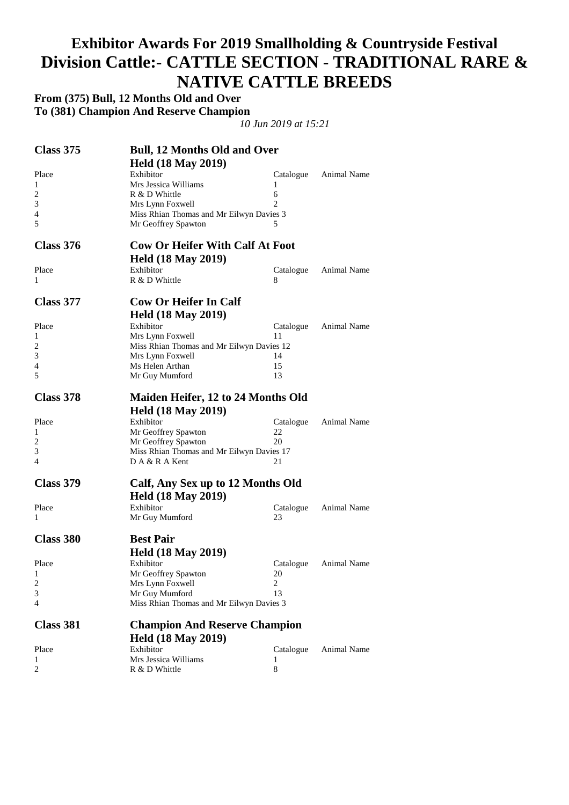## **Exhibitor Awards For 2019 Smallholding & Countryside Festival Division Cattle:- CATTLE SECTION - TRADITIONAL RARE & NATIVE CATTLE BREEDS**

**From (375) Bull, 12 Months Old and Over To (381) Champion And Reserve Champion** 

| <b>Class 375</b> | <b>Bull, 12 Months Old and Over</b><br><b>Held (18 May 2019)</b> |                 |                    |
|------------------|------------------------------------------------------------------|-----------------|--------------------|
| Place            | Exhibitor                                                        | Catalogue       | <b>Animal Name</b> |
| 1                | Mrs Jessica Williams                                             | 1               |                    |
| 2                | R & D Whittle                                                    | 6               |                    |
| 3                | Mrs Lynn Foxwell                                                 | 2               |                    |
| 4                | Miss Rhian Thomas and Mr Eilwyn Davies 3                         |                 |                    |
| 5                | Mr Geoffrey Spawton                                              | 5               |                    |
| <b>Class 376</b> | <b>Cow Or Heifer With Calf At Foot</b>                           |                 |                    |
|                  | <b>Held (18 May 2019)</b>                                        |                 |                    |
| Place            | Exhibitor                                                        | Catalogue       | Animal Name        |
| 1                | R & D Whittle                                                    | 8               |                    |
| Class 377        | <b>Cow Or Heifer In Calf</b>                                     |                 |                    |
|                  | <b>Held (18 May 2019)</b>                                        |                 |                    |
| Place            | Exhibitor                                                        | Catalogue       | Animal Name        |
| 1                | Mrs Lynn Foxwell                                                 | 11              |                    |
| 2                | Miss Rhian Thomas and Mr Eilwyn Davies 12                        |                 |                    |
| 3                | Mrs Lynn Foxwell                                                 | 14              |                    |
| 4                | Ms Helen Arthan                                                  | 15              |                    |
| 5                | Mr Guy Mumford                                                   | 13              |                    |
| Class 378        | <b>Maiden Heifer, 12 to 24 Months Old</b>                        |                 |                    |
|                  | <b>Held (18 May 2019)</b>                                        |                 |                    |
| Place            |                                                                  |                 |                    |
|                  | Exhibitor                                                        | Catalogue       | Animal Name        |
| 1                | Mr Geoffrey Spawton                                              | 22              |                    |
| 2                | Mr Geoffrey Spawton                                              | 20              |                    |
| 3                | Miss Rhian Thomas and Mr Eilwyn Davies 17                        |                 |                    |
| 4                | D A & R A Kent                                                   | 21              |                    |
| <b>Class 379</b> | Calf, Any Sex up to 12 Months Old                                |                 |                    |
|                  |                                                                  |                 |                    |
|                  | <b>Held (18 May 2019)</b><br>Exhibitor                           |                 |                    |
| Place<br>1       | Mr Guy Mumford                                                   | Catalogue<br>23 | Animal Name        |
|                  |                                                                  |                 |                    |
| Class 380        | <b>Best Pair</b>                                                 |                 |                    |
|                  | <b>Held (18 May 2019)</b>                                        |                 |                    |
| Place            | Exhibitor                                                        | Catalogue       | Animal Name        |
| 1                | Mr Geoffrey Spawton                                              | 20              |                    |
| 2                | Mrs Lynn Foxwell                                                 | $\overline{c}$  |                    |
| 3<br>4           | Mr Guy Mumford<br>Miss Rhian Thomas and Mr Eilwyn Davies 3       | 13              |                    |
|                  |                                                                  |                 |                    |
| Class 381        | <b>Champion And Reserve Champion</b>                             |                 |                    |
|                  | <b>Held (18 May 2019)</b>                                        |                 |                    |
| Place<br>1       | Exhibitor<br>Mrs Jessica Williams                                | Catalogue<br>1  | <b>Animal Name</b> |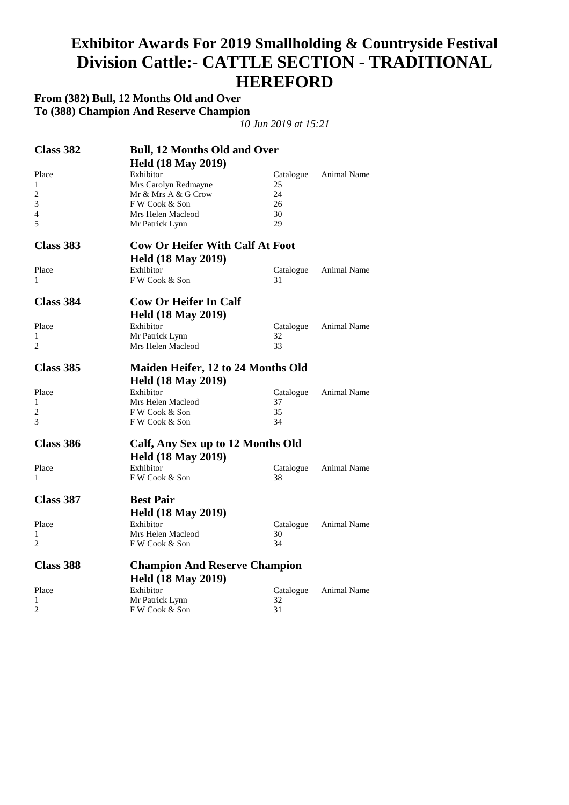## **Exhibitor Awards For 2019 Smallholding & Countryside Festival Division Cattle:- CATTLE SECTION - TRADITIONAL HEREFORD**

**From (382) Bull, 12 Months Old and Over To (388) Champion And Reserve Champion** 

| <b>Class 382</b> | <b>Bull, 12 Months Old and Over</b>       |           |                    |
|------------------|-------------------------------------------|-----------|--------------------|
|                  | <b>Held (18 May 2019)</b>                 |           |                    |
| Place            | Exhibitor                                 | Catalogue | Animal Name        |
| 1                | Mrs Carolyn Redmayne                      | 25        |                    |
| 2                | Mr & Mrs A & G Crow                       | 24        |                    |
| 3                | F W Cook & Son                            | 26        |                    |
| 4                | Mrs Helen Macleod                         | 30        |                    |
| 5                | Mr Patrick Lynn                           | 29        |                    |
| <b>Class 383</b> | <b>Cow Or Heifer With Calf At Foot</b>    |           |                    |
|                  | <b>Held (18 May 2019)</b>                 |           |                    |
| Place            | Exhibitor                                 | Catalogue | <b>Animal Name</b> |
| 1                | F W Cook & Son                            | 31        |                    |
| Class 384        | <b>Cow Or Heifer In Calf</b>              |           |                    |
|                  | <b>Held (18 May 2019)</b>                 |           |                    |
| Place            | Exhibitor                                 | Catalogue | Animal Name        |
| 1                | Mr Patrick Lynn                           | 32        |                    |
| 2                | Mrs Helen Macleod                         | 33        |                    |
|                  |                                           |           |                    |
| Class 385        | <b>Maiden Heifer, 12 to 24 Months Old</b> |           |                    |
|                  | <b>Held (18 May 2019)</b>                 |           |                    |
| Place            | Exhibitor                                 | Catalogue | <b>Animal Name</b> |
| 1                | Mrs Helen Macleod                         | 37        |                    |
| 2                | F W Cook & Son                            | 35        |                    |
| 3                | F W Cook & Son                            | 34        |                    |
| Class 386        | Calf, Any Sex up to 12 Months Old         |           |                    |
|                  | <b>Held (18 May 2019)</b>                 |           |                    |
| Place            | Exhibitor                                 | Catalogue | Animal Name        |
| 1                | F W Cook & Son                            | 38        |                    |
| Class 387        | <b>Best Pair</b>                          |           |                    |
|                  | <b>Held (18 May 2019)</b>                 |           |                    |
| Place            | Exhibitor                                 | Catalogue | Animal Name        |
| 1                | Mrs Helen Macleod                         | 30        |                    |
| $\overline{2}$   | F W Cook & Son                            | 34        |                    |
| Class 388        | <b>Champion And Reserve Champion</b>      |           |                    |
|                  | <b>Held (18 May 2019)</b>                 |           |                    |
| Place            | Exhibitor                                 | Catalogue | Animal Name        |
| 1                | Mr Patrick Lynn                           | 32        |                    |
| 2                | F W Cook & Son                            | 31        |                    |
|                  |                                           |           |                    |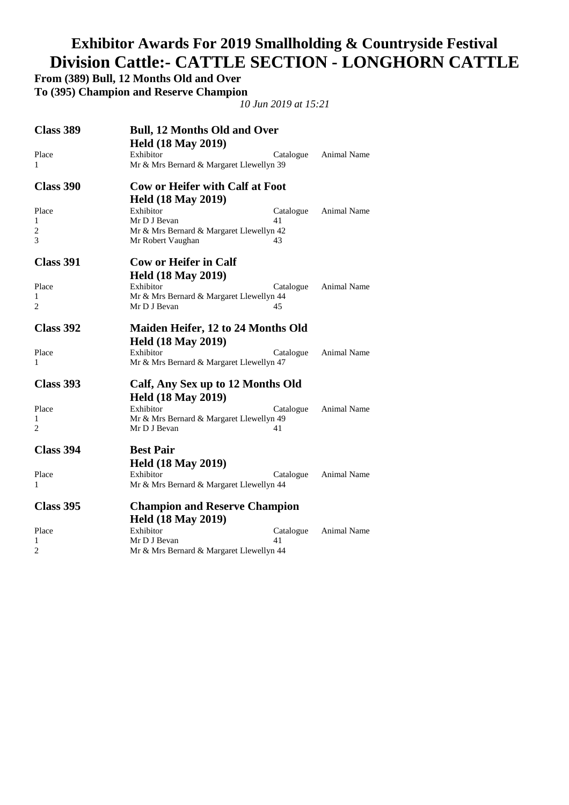# **Exhibitor Awards For 2019 Smallholding & Countryside Festival Division Cattle:- CATTLE SECTION - LONGHORN CATTLE**

**From (389) Bull, 12 Months Old and Over** 

**To (395) Champion and Reserve Champion** 

| <b>Class 389</b> | <b>Bull, 12 Months Old and Over</b>      |           |                    |
|------------------|------------------------------------------|-----------|--------------------|
|                  | <b>Held (18 May 2019)</b>                |           |                    |
| Place            | Exhibitor                                | Catalogue | Animal Name        |
| 1                | Mr & Mrs Bernard & Margaret Llewellyn 39 |           |                    |
| Class 390        | <b>Cow or Heifer with Calf at Foot</b>   |           |                    |
|                  | <b>Held (18 May 2019)</b>                |           |                    |
| Place            | Exhibitor                                | Catalogue | Animal Name        |
| 1                | Mr D J Bevan                             | 41        |                    |
| 2                | Mr & Mrs Bernard & Margaret Llewellyn 42 |           |                    |
| 3                | Mr Robert Vaughan                        | 43        |                    |
| <b>Class 391</b> | <b>Cow or Heifer in Calf</b>             |           |                    |
|                  | <b>Held (18 May 2019)</b>                |           |                    |
| Place            | Exhibitor                                | Catalogue | <b>Animal Name</b> |
| 1                | Mr & Mrs Bernard & Margaret Llewellyn 44 |           |                    |
| $\overline{c}$   | Mr D J Bevan                             | 45        |                    |
| <b>Class 392</b> | Maiden Heifer, 12 to 24 Months Old       |           |                    |
|                  | <b>Held (18 May 2019)</b>                |           |                    |
| Place            | Exhibitor                                | Catalogue | <b>Animal Name</b> |
| 1                | Mr & Mrs Bernard & Margaret Llewellyn 47 |           |                    |
| <b>Class 393</b> | Calf, Any Sex up to 12 Months Old        |           |                    |
|                  | <b>Held (18 May 2019)</b>                |           |                    |
| Place            | Exhibitor                                | Catalogue | Animal Name        |
| 1                | Mr & Mrs Bernard & Margaret Llewellyn 49 |           |                    |
| $\overline{c}$   | Mr D J Bevan                             | 41        |                    |
| Class 394        | <b>Best Pair</b>                         |           |                    |
|                  | <b>Held (18 May 2019)</b>                |           |                    |
| Place            | Exhibitor                                | Catalogue | <b>Animal Name</b> |
| 1                | Mr & Mrs Bernard & Margaret Llewellyn 44 |           |                    |
| <b>Class 395</b> | <b>Champion and Reserve Champion</b>     |           |                    |
|                  | <b>Held (18 May 2019)</b>                |           |                    |
| Place            | Exhibitor                                | Catalogue | Animal Name        |
| 1                | Mr D J Bevan                             | 41        |                    |
| $\overline{c}$   | Mr & Mrs Bernard & Margaret Llewellyn 44 |           |                    |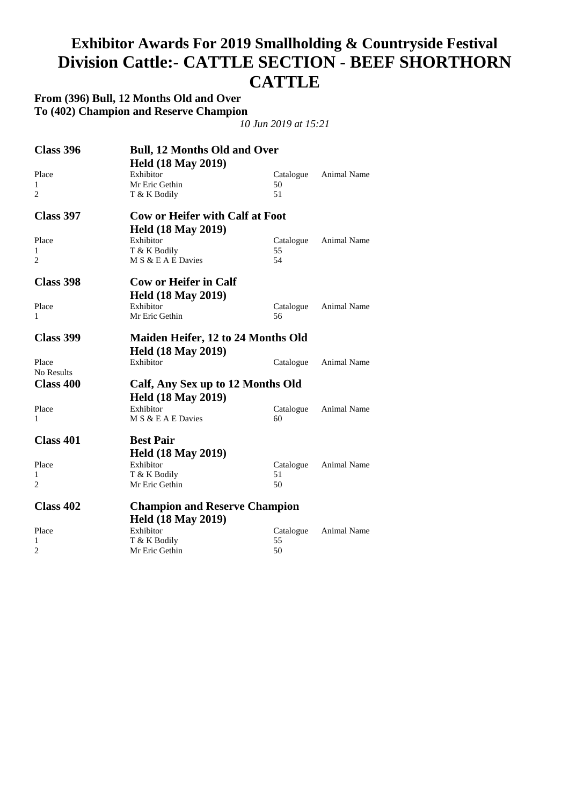## **Exhibitor Awards For 2019 Smallholding & Countryside Festival Division Cattle:- CATTLE SECTION - BEEF SHORTHORN CATTLE**

#### **From (396) Bull, 12 Months Old and Over To (402) Champion and Reserve Champion**

| <b>Class 396</b> | <b>Bull, 12 Months Old and Over</b>    |           |                    |
|------------------|----------------------------------------|-----------|--------------------|
|                  | <b>Held (18 May 2019)</b>              |           |                    |
| Place            | Exhibitor                              | Catalogue | Animal Name        |
| 1                | Mr Eric Gethin                         | 50        |                    |
| $\overline{c}$   | T & K Bodily                           | 51        |                    |
| <b>Class 397</b> | <b>Cow or Heifer with Calf at Foot</b> |           |                    |
|                  | <b>Held (18 May 2019)</b>              |           |                    |
| Place            | Exhibitor                              | Catalogue | Animal Name        |
| 1                | T & K Bodily                           | 55        |                    |
| $\overline{2}$   | M S & E A E Davies                     | 54        |                    |
| <b>Class 398</b> | <b>Cow or Heifer in Calf</b>           |           |                    |
|                  | <b>Held (18 May 2019)</b>              |           |                    |
| Place            | Exhibitor                              | Catalogue | Animal Name        |
| 1                | Mr Eric Gethin                         | 56        |                    |
| <b>Class 399</b> | Maiden Heifer, 12 to 24 Months Old     |           |                    |
|                  | <b>Held (18 May 2019)</b>              |           |                    |
| Place            | Exhibitor                              | Catalogue | Animal Name        |
| No Results       |                                        |           |                    |
| <b>Class 400</b> | Calf, Any Sex up to 12 Months Old      |           |                    |
|                  | <b>Held (18 May 2019)</b>              |           |                    |
| Place            | Exhibitor                              | Catalogue | <b>Animal Name</b> |
| 1                | M S & E A E Davies                     | 60        |                    |
|                  |                                        |           |                    |
| Class 401        | <b>Best Pair</b>                       |           |                    |
|                  | <b>Held (18 May 2019)</b>              |           |                    |
| Place            | Exhibitor                              | Catalogue | Animal Name        |
| 1                | T & K Bodily                           | 51        |                    |
| 2                | Mr Eric Gethin                         | 50        |                    |
| <b>Class 402</b> | <b>Champion and Reserve Champion</b>   |           |                    |
|                  | <b>Held (18 May 2019)</b>              |           |                    |
| Place            | Exhibitor                              | Catalogue | <b>Animal Name</b> |
| 1                | T & K Bodily                           | 55        |                    |
| $\overline{c}$   | Mr Eric Gethin                         | 50        |                    |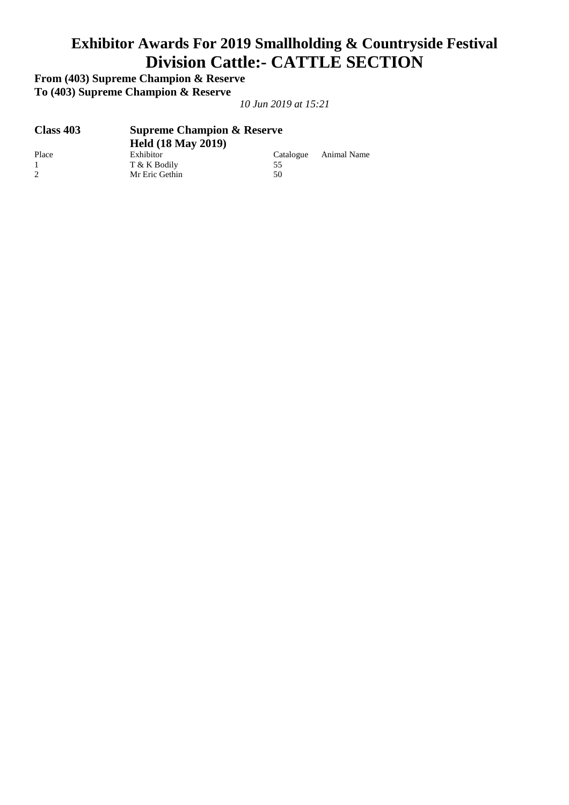#### **Exhibitor Awards For 2019 Smallholding & Countryside Festival Division Cattle:- CATTLE SECTION**

**From (403) Supreme Champion & Reserve To (403) Supreme Champion & Reserve** 

| Class 403 | <b>Supreme Champion &amp; Reserve</b> |           |             |
|-----------|---------------------------------------|-----------|-------------|
|           | <b>Held (18 May 2019)</b>             |           |             |
| Place     | Exhibitor                             | Catalogue | Animal Name |
|           | T & K Bodily                          | 55        |             |
| 2         | Mr Eric Gethin                        | 50        |             |